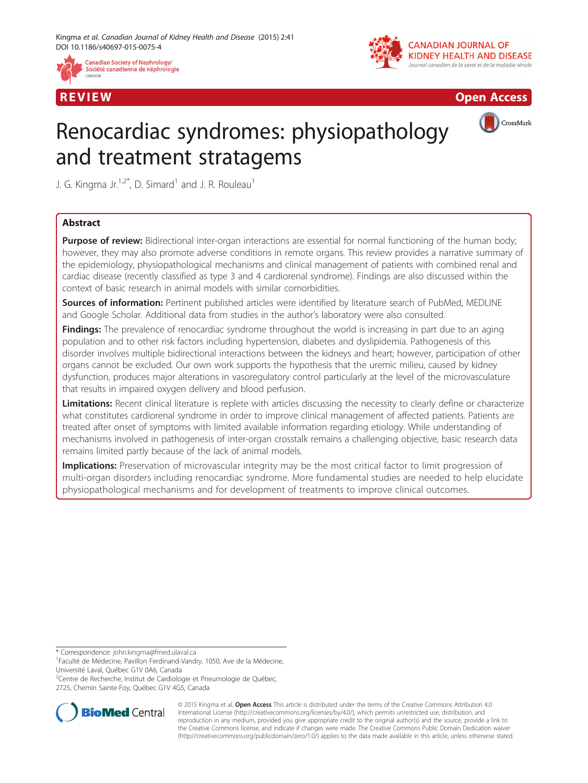







CrossMark

# Renocardiac syndromes: physiopathology and treatment stratagems

J. G. Kingma Jr. $1.2^*$ , D. Simard<sup>1</sup> and J. R. Rouleau<sup>1</sup>

# Abstract

Purpose of review: Bidirectional inter-organ interactions are essential for normal functioning of the human body; however, they may also promote adverse conditions in remote organs. This review provides a narrative summary of the epidemiology, physiopathological mechanisms and clinical management of patients with combined renal and cardiac disease (recently classified as type 3 and 4 cardiorenal syndrome). Findings are also discussed within the context of basic research in animal models with similar comorbidities.

Sources of information: Pertinent published articles were identified by literature search of PubMed, MEDLINE and Google Scholar. Additional data from studies in the author's laboratory were also consulted.

Findings: The prevalence of renocardiac syndrome throughout the world is increasing in part due to an aging population and to other risk factors including hypertension, diabetes and dyslipidemia. Pathogenesis of this disorder involves multiple bidirectional interactions between the kidneys and heart; however, participation of other organs cannot be excluded. Our own work supports the hypothesis that the uremic milieu, caused by kidney dysfunction, produces major alterations in vasoregulatory control particularly at the level of the microvasculature that results in impaired oxygen delivery and blood perfusion.

Limitations: Recent clinical literature is replete with articles discussing the necessity to clearly define or characterize what constitutes cardiorenal syndrome in order to improve clinical management of affected patients. Patients are treated after onset of symptoms with limited available information regarding etiology. While understanding of mechanisms involved in pathogenesis of inter-organ crosstalk remains a challenging objective, basic research data remains limited partly because of the lack of animal models.

Implications: Preservation of microvascular integrity may be the most critical factor to limit progression of multi-organ disorders including renocardiac syndrome. More fundamental studies are needed to help elucidate physiopathological mechanisms and for development of treatments to improve clinical outcomes.

\* Correspondence: [john.kingma@fmed.ulaval.ca](mailto:john.kingma@fmed.ulaval.ca) <sup>1</sup>

<sup>2</sup>Centre de Recherche, Institut de Cardiologie et Pneumologie de Québec,





© 2015 Kingma et al. Open Access This article is distributed under the terms of the Creative Commons Attribution 4.0 International License [\(http://creativecommons.org/licenses/by/4.0/](http://creativecommons.org/licenses/by/4.0/)), which permits unrestricted use, distribution, and reproduction in any medium, provided you give appropriate credit to the original author(s) and the source, provide a link to the Creative Commons license, and indicate if changes were made. The Creative Commons Public Domain Dedication waiver [\(http://creativecommons.org/publicdomain/zero/1.0/](http://creativecommons.org/publicdomain/zero/1.0/)) applies to the data made available in this article, unless otherwise stated.

Faculté de Médecine, Pavillon Ferdinand-Vandry, 1050, Ave de la Médecine, Université Laval, Québec G1V 0A6, Canada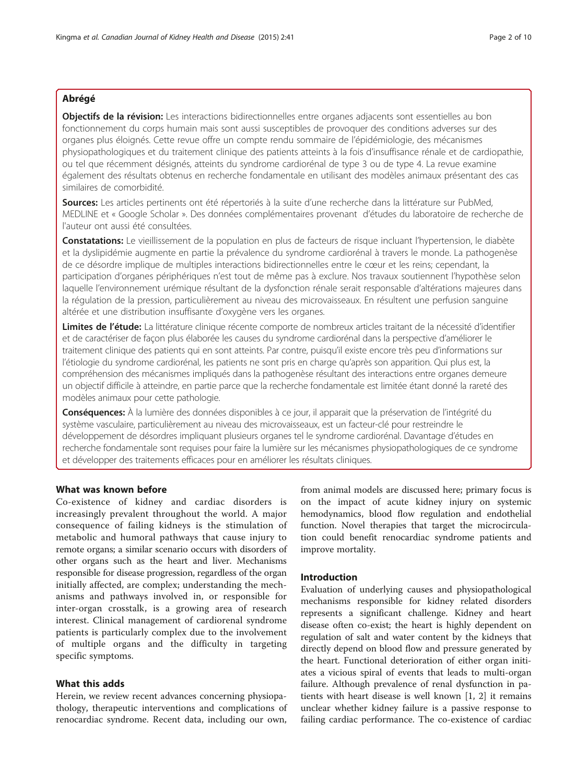# Abrégé

Objectifs de la révision: Les interactions bidirectionnelles entre organes adjacents sont essentielles au bon fonctionnement du corps humain mais sont aussi susceptibles de provoquer des conditions adverses sur des organes plus éloignés. Cette revue offre un compte rendu sommaire de l'épidémiologie, des mécanismes physiopathologiques et du traitement clinique des patients atteints à la fois d'insuffisance rénale et de cardiopathie, ou tel que récemment désignés, atteints du syndrome cardiorénal de type 3 ou de type 4. La revue examine également des résultats obtenus en recherche fondamentale en utilisant des modèles animaux présentant des cas similaires de comorbidité.

Sources: Les articles pertinents ont été répertoriés à la suite d'une recherche dans la littérature sur PubMed, MEDLINE et « Google Scholar ». Des données complémentaires provenant d'études du laboratoire de recherche de l'auteur ont aussi été consultées.

Constatations: Le vieillissement de la population en plus de facteurs de risque incluant l'hypertension, le diabète et la dyslipidémie augmente en partie la prévalence du syndrome cardiorénal à travers le monde. La pathogenèse de ce désordre implique de multiples interactions bidirectionnelles entre le cœur et les reins; cependant, la participation d'organes périphériques n'est tout de même pas à exclure. Nos travaux soutiennent l'hypothèse selon laquelle l'environnement urémique résultant de la dysfonction rénale serait responsable d'altérations majeures dans la régulation de la pression, particulièrement au niveau des microvaisseaux. En résultent une perfusion sanguine altérée et une distribution insuffisante d'oxygène vers les organes.

Limites de l'étude: La littérature clinique récente comporte de nombreux articles traitant de la nécessité d'identifier et de caractériser de façon plus élaborée les causes du syndrome cardiorénal dans la perspective d'améliorer le traitement clinique des patients qui en sont atteints. Par contre, puisqu'il existe encore très peu d'informations sur l'étiologie du syndrome cardiorénal, les patients ne sont pris en charge qu'après son apparition. Qui plus est, la compréhension des mécanismes impliqués dans la pathogenèse résultant des interactions entre organes demeure un objectif difficile à atteindre, en partie parce que la recherche fondamentale est limitée étant donné la rareté des modèles animaux pour cette pathologie.

Conséquences: À la lumière des données disponibles à ce jour, il apparait que la préservation de l'intégrité du système vasculaire, particulièrement au niveau des microvaisseaux, est un facteur-clé pour restreindre le développement de désordres impliquant plusieurs organes tel le syndrome cardiorénal. Davantage d'études en recherche fondamentale sont requises pour faire la lumière sur les mécanismes physiopathologiques de ce syndrome et développer des traitements efficaces pour en améliorer les résultats cliniques.

# What was known before

Co-existence of kidney and cardiac disorders is increasingly prevalent throughout the world. A major consequence of failing kidneys is the stimulation of metabolic and humoral pathways that cause injury to remote organs; a similar scenario occurs with disorders of other organs such as the heart and liver. Mechanisms responsible for disease progression, regardless of the organ initially affected, are complex; understanding the mechanisms and pathways involved in, or responsible for inter-organ crosstalk, is a growing area of research interest. Clinical management of cardiorenal syndrome patients is particularly complex due to the involvement of multiple organs and the difficulty in targeting specific symptoms.

# What this adds

Herein, we review recent advances concerning physiopathology, therapeutic interventions and complications of renocardiac syndrome. Recent data, including our own,

from animal models are discussed here; primary focus is on the impact of acute kidney injury on systemic hemodynamics, blood flow regulation and endothelial function. Novel therapies that target the microcirculation could benefit renocardiac syndrome patients and improve mortality.

# Introduction

Evaluation of underlying causes and physiopathological mechanisms responsible for kidney related disorders represents a significant challenge. Kidney and heart disease often co-exist; the heart is highly dependent on regulation of salt and water content by the kidneys that directly depend on blood flow and pressure generated by the heart. Functional deterioration of either organ initiates a vicious spiral of events that leads to multi-organ failure. Although prevalence of renal dysfunction in patients with heart disease is well known [\[1](#page-7-0), [2\]](#page-7-0) it remains unclear whether kidney failure is a passive response to failing cardiac performance. The co-existence of cardiac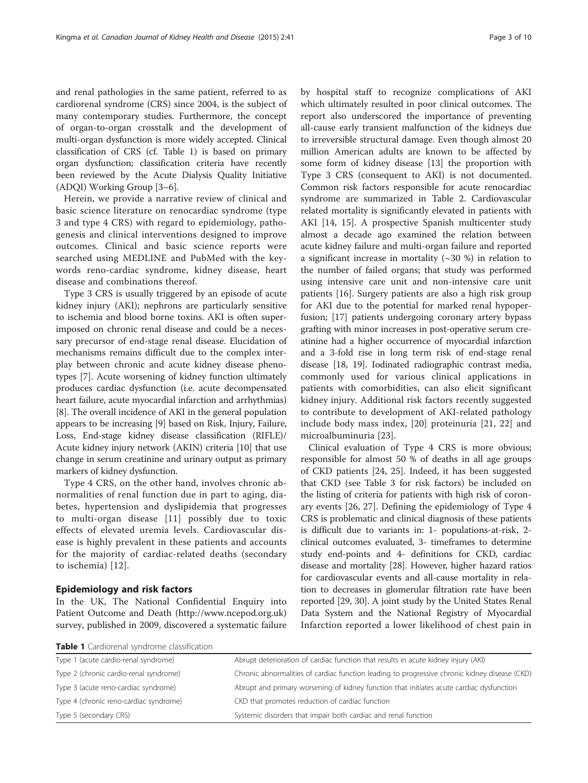and renal pathologies in the same patient, referred to as cardiorenal syndrome (CRS) since 2004, is the subject of many contemporary studies. Furthermore, the concept of organ-to-organ crosstalk and the development of multi-organ dysfunction is more widely accepted. Clinical classification of CRS (cf. Table 1) is based on primary organ dysfunction; classification criteria have recently been reviewed by the Acute Dialysis Quality Initiative (ADQI) Working Group [\[3](#page-7-0)–[6\]](#page-7-0).

Herein, we provide a narrative review of clinical and basic science literature on renocardiac syndrome (type 3 and type 4 CRS) with regard to epidemiology, pathogenesis and clinical interventions designed to improve outcomes. Clinical and basic science reports were searched using MEDLINE and PubMed with the keywords reno-cardiac syndrome, kidney disease, heart disease and combinations thereof.

Type 3 CRS is usually triggered by an episode of acute kidney injury (AKI); nephrons are particularly sensitive to ischemia and blood borne toxins. AKI is often superimposed on chronic renal disease and could be a necessary precursor of end-stage renal disease. Elucidation of mechanisms remains difficult due to the complex interplay between chronic and acute kidney disease phenotypes [\[7](#page-7-0)]. Acute worsening of kidney function ultimately produces cardiac dysfunction (i.e. acute decompensated heart failure, acute myocardial infarction and arrhythmias) [[8\]](#page-7-0). The overall incidence of AKI in the general population appears to be increasing [\[9](#page-7-0)] based on Risk, Injury, Failure, Loss, End-stage kidney disease classification (RIFLE)/ Acute kidney injury network (AKIN) criteria [[10](#page-7-0)] that use change in serum creatinine and urinary output as primary markers of kidney dysfunction.

Type 4 CRS, on the other hand, involves chronic abnormalities of renal function due in part to aging, diabetes, hypertension and dyslipidemia that progresses to multi-organ disease [\[11](#page-7-0)] possibly due to toxic effects of elevated uremia levels. Cardiovascular disease is highly prevalent in these patients and accounts for the majority of cardiac-related deaths (secondary to ischemia) [[12](#page-7-0)].

# Epidemiology and risk factors

In the UK, The National Confidential Enquiry into Patient Outcome and Death (http://www.ncepod.org.uk) survey, published in 2009, discovered a systematic failure

by hospital staff to recognize complications of AKI which ultimately resulted in poor clinical outcomes. The report also underscored the importance of preventing all-cause early transient malfunction of the kidneys due to irreversible structural damage. Even though almost 20 million American adults are known to be affected by some form of kidney disease [\[13](#page-7-0)] the proportion with Type 3 CRS (consequent to AKI) is not documented. Common risk factors responsible for acute renocardiac syndrome are summarized in Table [2](#page-3-0). Cardiovascular related mortality is significantly elevated in patients with AKI [\[14](#page-7-0), [15\]](#page-7-0). A prospective Spanish multicenter study almost a decade ago examined the relation between acute kidney failure and multi-organ failure and reported a significant increase in mortality  $(\sim 30, \%)$  in relation to the number of failed organs; that study was performed using intensive care unit and non-intensive care unit patients [[16](#page-7-0)]. Surgery patients are also a high risk group for AKI due to the potential for marked renal hypoperfusion; [\[17](#page-7-0)] patients undergoing coronary artery bypass grafting with minor increases in post-operative serum creatinine had a higher occurrence of myocardial infarction and a 3-fold rise in long term risk of end-stage renal disease [[18](#page-7-0), [19\]](#page-7-0). Iodinated radiographic contrast media, commonly used for various clinical applications in patients with comorbidities, can also elicit significant kidney injury. Additional risk factors recently suggested to contribute to development of AKI-related pathology include body mass index, [[20\]](#page-7-0) proteinuria [\[21](#page-7-0), [22](#page-7-0)] and microalbuminuria [[23\]](#page-7-0).

Clinical evaluation of Type 4 CRS is more obvious; responsible for almost 50 % of deaths in all age groups of CKD patients [\[24, 25\]](#page-7-0). Indeed, it has been suggested that CKD (see Table [3](#page-3-0) for risk factors) be included on the listing of criteria for patients with high risk of coronary events [[26, 27\]](#page-7-0). Defining the epidemiology of Type 4 CRS is problematic and clinical diagnosis of these patients is difficult due to variants in: 1- populations-at-risk, 2 clinical outcomes evaluated, 3- timeframes to determine study end-points and 4- definitions for CKD, cardiac disease and mortality [[28](#page-7-0)]. However, higher hazard ratios for cardiovascular events and all-cause mortality in relation to decreases in glomerular filtration rate have been reported [[29](#page-7-0), [30](#page-7-0)]. A joint study by the United States Renal Data System and the National Registry of Myocardial Infarction reported a lower likelihood of chest pain in

Table 1 Cardiorenal syndrome classification

| Type 1 (acute cardio-renal syndrome)   | Abrupt deterioration of cardiac function that results in acute kidney injury (AKI)            |
|----------------------------------------|-----------------------------------------------------------------------------------------------|
| Type 2 (chronic cardio-renal syndrome) | Chronic abnormalities of cardiac function leading to progressive chronic kidney disease (CKD) |
| Type 3 (acute reno-cardiac syndrome)   | Abrupt and primary worsening of kidney function that initiates acute cardiac dysfunction      |
| Type 4 (chronic reno-cardiac syndrome) | CKD that promotes reduction of cardiac function                                               |
| Type 5 (secondary CRS)                 | Systemic disorders that impair both cardiac and renal function                                |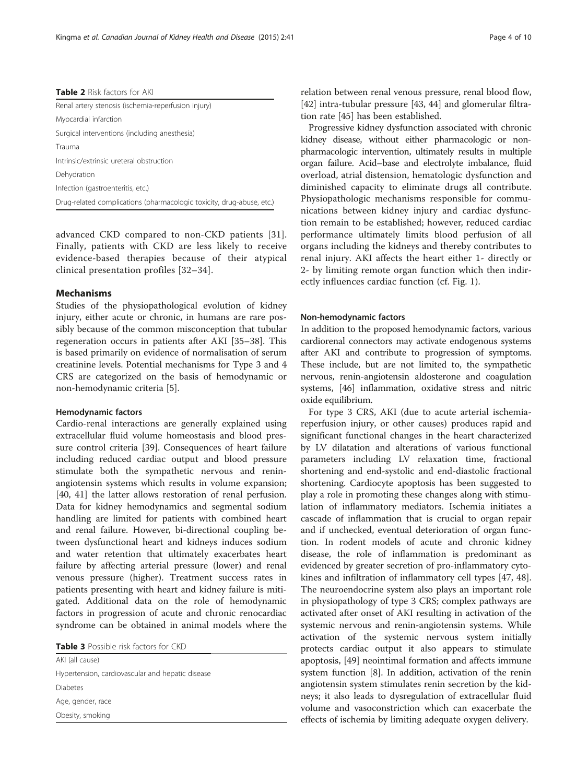#### <span id="page-3-0"></span>Table 2 Risk factors for AKI

Renal artery stenosis (ischemia-reperfusion injury) Myocardial infarction Surgical interventions (including anesthesia) Trauma Intrinsic/extrinsic ureteral obstruction Dehydration Infection (gastroenteritis, etc.) Drug-related complications (pharmacologic toxicity, drug-abuse, etc.)

advanced CKD compared to non-CKD patients [[31](#page-7-0)]. Finally, patients with CKD are less likely to receive evidence-based therapies because of their atypical clinical presentation profiles [[32](#page-7-0)–[34](#page-7-0)].

# Mechanisms

Studies of the physiopathological evolution of kidney injury, either acute or chronic, in humans are rare possibly because of the common misconception that tubular regeneration occurs in patients after AKI [[35](#page-7-0)–[38](#page-7-0)]. This is based primarily on evidence of normalisation of serum creatinine levels. Potential mechanisms for Type 3 and 4 CRS are categorized on the basis of hemodynamic or non-hemodynamic criteria [[5\]](#page-7-0).

#### Hemodynamic factors

Cardio-renal interactions are generally explained using extracellular fluid volume homeostasis and blood pressure control criteria [[39\]](#page-7-0). Consequences of heart failure including reduced cardiac output and blood pressure stimulate both the sympathetic nervous and reninangiotensin systems which results in volume expansion; [[40, 41\]](#page-7-0) the latter allows restoration of renal perfusion. Data for kidney hemodynamics and segmental sodium handling are limited for patients with combined heart and renal failure. However, bi-directional coupling between dysfunctional heart and kidneys induces sodium and water retention that ultimately exacerbates heart failure by affecting arterial pressure (lower) and renal venous pressure (higher). Treatment success rates in patients presenting with heart and kidney failure is mitigated. Additional data on the role of hemodynamic factors in progression of acute and chronic renocardiac syndrome can be obtained in animal models where the

| <b>Table 3</b> Possible risk factors for CKD |
|----------------------------------------------|
|----------------------------------------------|

AKI (all cause) Hypertension, cardiovascular and hepatic disease Diabetes Age, gender, race Obesity, smoking

relation between renal venous pressure, renal blood flow, [[42\]](#page-7-0) intra-tubular pressure [\[43](#page-7-0), [44](#page-7-0)] and glomerular filtration rate [[45\]](#page-7-0) has been established.

Progressive kidney dysfunction associated with chronic kidney disease, without either pharmacologic or nonpharmacologic intervention, ultimately results in multiple organ failure. Acid–base and electrolyte imbalance, fluid overload, atrial distension, hematologic dysfunction and diminished capacity to eliminate drugs all contribute. Physiopathologic mechanisms responsible for communications between kidney injury and cardiac dysfunction remain to be established; however, reduced cardiac performance ultimately limits blood perfusion of all organs including the kidneys and thereby contributes to renal injury. AKI affects the heart either 1- directly or 2- by limiting remote organ function which then indirectly influences cardiac function (cf. Fig. [1](#page-4-0)).

#### Non-hemodynamic factors

In addition to the proposed hemodynamic factors, various cardiorenal connectors may activate endogenous systems after AKI and contribute to progression of symptoms. These include, but are not limited to, the sympathetic nervous, renin-angiotensin aldosterone and coagulation systems, [[46](#page-8-0)] inflammation, oxidative stress and nitric oxide equilibrium.

For type 3 CRS, AKI (due to acute arterial ischemiareperfusion injury, or other causes) produces rapid and significant functional changes in the heart characterized by LV dilatation and alterations of various functional parameters including LV relaxation time, fractional shortening and end-systolic and end-diastolic fractional shortening. Cardiocyte apoptosis has been suggested to play a role in promoting these changes along with stimulation of inflammatory mediators. Ischemia initiates a cascade of inflammation that is crucial to organ repair and if unchecked, eventual deterioration of organ function. In rodent models of acute and chronic kidney disease, the role of inflammation is predominant as evidenced by greater secretion of pro-inflammatory cytokines and infiltration of inflammatory cell types [\[47, 48](#page-8-0)]. The neuroendocrine system also plays an important role in physiopathology of type 3 CRS; complex pathways are activated after onset of AKI resulting in activation of the systemic nervous and renin-angiotensin systems. While activation of the systemic nervous system initially protects cardiac output it also appears to stimulate apoptosis, [[49](#page-8-0)] neointimal formation and affects immune system function [[8\]](#page-7-0). In addition, activation of the renin angiotensin system stimulates renin secretion by the kidneys; it also leads to dysregulation of extracellular fluid volume and vasoconstriction which can exacerbate the effects of ischemia by limiting adequate oxygen delivery.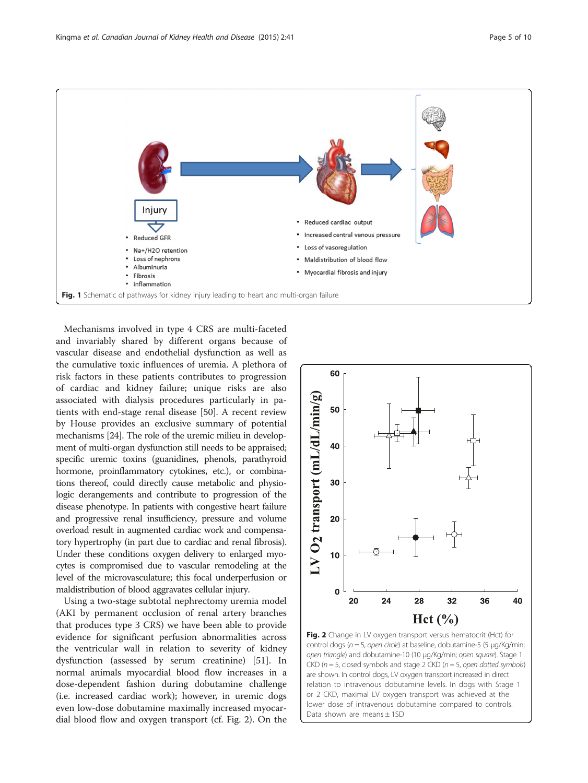<span id="page-4-0"></span>

Mechanisms involved in type 4 CRS are multi-faceted and invariably shared by different organs because of vascular disease and endothelial dysfunction as well as the cumulative toxic influences of uremia. A plethora of risk factors in these patients contributes to progression of cardiac and kidney failure; unique risks are also associated with dialysis procedures particularly in patients with end-stage renal disease [[50\]](#page-8-0). A recent review by House provides an exclusive summary of potential mechanisms [\[24](#page-7-0)]. The role of the uremic milieu in development of multi-organ dysfunction still needs to be appraised; specific uremic toxins (guanidines, phenols, parathyroid hormone, proinflammatory cytokines, etc.), or combinations thereof, could directly cause metabolic and physiologic derangements and contribute to progression of the disease phenotype. In patients with congestive heart failure and progressive renal insufficiency, pressure and volume overload result in augmented cardiac work and compensatory hypertrophy (in part due to cardiac and renal fibrosis). Under these conditions oxygen delivery to enlarged myocytes is compromised due to vascular remodeling at the level of the microvasculature; this focal underperfusion or maldistribution of blood aggravates cellular injury.

Using a two-stage subtotal nephrectomy uremia model (AKI by permanent occlusion of renal artery branches that produces type 3 CRS) we have been able to provide evidence for significant perfusion abnormalities across the ventricular wall in relation to severity of kidney dysfunction (assessed by serum creatinine) [\[51](#page-8-0)]. In normal animals myocardial blood flow increases in a dose-dependent fashion during dobutamine challenge (i.e. increased cardiac work); however, in uremic dogs even low-dose dobutamine maximally increased myocardial blood flow and oxygen transport (cf. Fig. 2). On the



Fig. 2 Change in LV oxygen transport versus hematocrit (Hct) for control dogs ( $n = 5$ , open circle) at baseline, dobutamine-5 (5 µg/Kg/min; open triangle) and dobutamine-10 (10 μg/Kg/min; open square). Stage 1 CKD ( $n = 5$ , closed symbols and stage 2 CKD ( $n = 5$ , open dotted symbols) are shown. In control dogs, LV oxygen transport increased in direct relation to intravenous dobutamine levels. In dogs with Stage 1 or 2 CKD, maximal LV oxygen transport was achieved at the lower dose of intravenous dobutamine compared to controls. Data shown are means + 1SD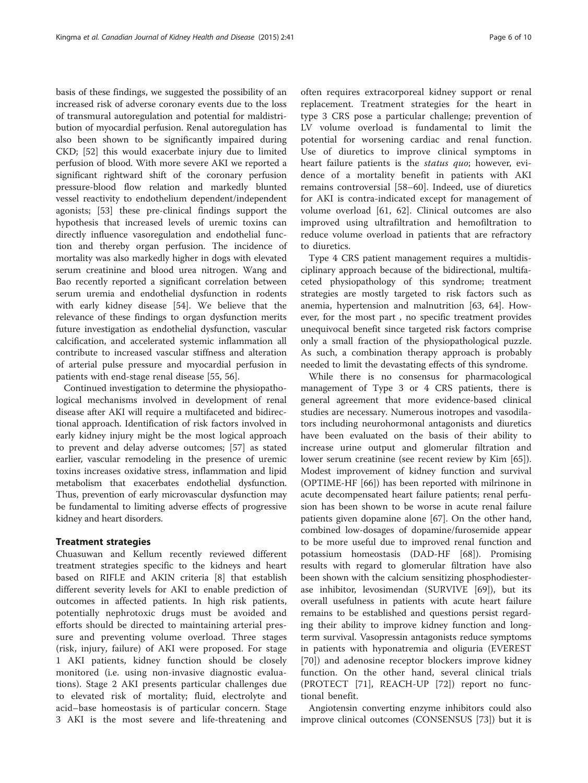basis of these findings, we suggested the possibility of an increased risk of adverse coronary events due to the loss of transmural autoregulation and potential for maldistribution of myocardial perfusion. Renal autoregulation has also been shown to be significantly impaired during CKD; [[52\]](#page-8-0) this would exacerbate injury due to limited perfusion of blood. With more severe AKI we reported a significant rightward shift of the coronary perfusion pressure-blood flow relation and markedly blunted vessel reactivity to endothelium dependent/independent agonists; [[53](#page-8-0)] these pre-clinical findings support the hypothesis that increased levels of uremic toxins can directly influence vasoregulation and endothelial function and thereby organ perfusion. The incidence of mortality was also markedly higher in dogs with elevated serum creatinine and blood urea nitrogen. Wang and Bao recently reported a significant correlation between serum uremia and endothelial dysfunction in rodents with early kidney disease [\[54](#page-8-0)]. We believe that the relevance of these findings to organ dysfunction merits future investigation as endothelial dysfunction, vascular calcification, and accelerated systemic inflammation all contribute to increased vascular stiffness and alteration of arterial pulse pressure and myocardial perfusion in patients with end-stage renal disease [[55, 56\]](#page-8-0).

Continued investigation to determine the physiopathological mechanisms involved in development of renal disease after AKI will require a multifaceted and bidirectional approach. Identification of risk factors involved in early kidney injury might be the most logical approach to prevent and delay adverse outcomes; [[57](#page-8-0)] as stated earlier, vascular remodeling in the presence of uremic toxins increases oxidative stress, inflammation and lipid metabolism that exacerbates endothelial dysfunction. Thus, prevention of early microvascular dysfunction may be fundamental to limiting adverse effects of progressive kidney and heart disorders.

## Treatment strategies

Chuasuwan and Kellum recently reviewed different treatment strategies specific to the kidneys and heart based on RIFLE and AKIN criteria [\[8](#page-7-0)] that establish different severity levels for AKI to enable prediction of outcomes in affected patients. In high risk patients, potentially nephrotoxic drugs must be avoided and efforts should be directed to maintaining arterial pressure and preventing volume overload. Three stages (risk, injury, failure) of AKI were proposed. For stage 1 AKI patients, kidney function should be closely monitored (i.e. using non-invasive diagnostic evaluations). Stage 2 AKI presents particular challenges due to elevated risk of mortality; fluid, electrolyte and acid–base homeostasis is of particular concern. Stage 3 AKI is the most severe and life-threatening and

often requires extracorporeal kidney support or renal replacement. Treatment strategies for the heart in type 3 CRS pose a particular challenge; prevention of LV volume overload is fundamental to limit the potential for worsening cardiac and renal function. Use of diuretics to improve clinical symptoms in heart failure patients is the *status quo*; however, evidence of a mortality benefit in patients with AKI remains controversial [[58](#page-8-0)–[60\]](#page-8-0). Indeed, use of diuretics for AKI is contra-indicated except for management of volume overload [\[61](#page-8-0), [62\]](#page-8-0). Clinical outcomes are also improved using ultrafiltration and hemofiltration to reduce volume overload in patients that are refractory to diuretics.

Type 4 CRS patient management requires a multidisciplinary approach because of the bidirectional, multifaceted physiopathology of this syndrome; treatment strategies are mostly targeted to risk factors such as anemia, hypertension and malnutrition [[63](#page-8-0), [64](#page-8-0)]. However, for the most part , no specific treatment provides unequivocal benefit since targeted risk factors comprise only a small fraction of the physiopathological puzzle. As such, a combination therapy approach is probably needed to limit the devastating effects of this syndrome.

While there is no consensus for pharmacological management of Type 3 or 4 CRS patients, there is general agreement that more evidence-based clinical studies are necessary. Numerous inotropes and vasodilators including neurohormonal antagonists and diuretics have been evaluated on the basis of their ability to increase urine output and glomerular filtration and lower serum creatinine (see recent review by Kim [\[65](#page-8-0)]). Modest improvement of kidney function and survival (OPTIME-HF [\[66](#page-8-0)]) has been reported with milrinone in acute decompensated heart failure patients; renal perfusion has been shown to be worse in acute renal failure patients given dopamine alone [[67](#page-8-0)]. On the other hand, combined low-dosages of dopamine/furosemide appear to be more useful due to improved renal function and potassium homeostasis (DAD-HF [\[68\]](#page-8-0)). Promising results with regard to glomerular filtration have also been shown with the calcium sensitizing phosphodiesterase inhibitor, levosimendan (SURVIVE [[69\]](#page-8-0)), but its overall usefulness in patients with acute heart failure remains to be established and questions persist regarding their ability to improve kidney function and longterm survival. Vasopressin antagonists reduce symptoms in patients with hyponatremia and oliguria (EVEREST [[70\]](#page-8-0)) and adenosine receptor blockers improve kidney function. On the other hand, several clinical trials (PROTECT [[71\]](#page-8-0), REACH-UP [\[72](#page-8-0)]) report no functional benefit.

Angiotensin converting enzyme inhibitors could also improve clinical outcomes (CONSENSUS [\[73](#page-8-0)]) but it is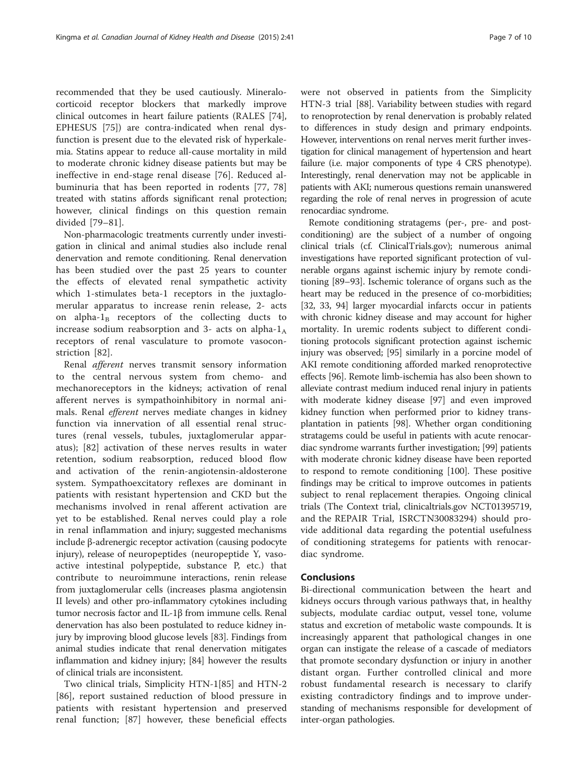recommended that they be used cautiously. Mineralocorticoid receptor blockers that markedly improve clinical outcomes in heart failure patients (RALES [\[74](#page-8-0)], EPHESUS [[75\]](#page-8-0)) are contra-indicated when renal dysfunction is present due to the elevated risk of hyperkalemia. Statins appear to reduce all-cause mortality in mild to moderate chronic kidney disease patients but may be ineffective in end-stage renal disease [[76\]](#page-8-0). Reduced albuminuria that has been reported in rodents [[77, 78](#page-8-0)] treated with statins affords significant renal protection; however, clinical findings on this question remain divided [[79](#page-8-0)–[81](#page-8-0)].

Non-pharmacologic treatments currently under investigation in clinical and animal studies also include renal denervation and remote conditioning. Renal denervation has been studied over the past 25 years to counter the effects of elevated renal sympathetic activity which 1-stimulates beta-1 receptors in the juxtaglomerular apparatus to increase renin release, 2- acts on alpha- $1_B$  receptors of the collecting ducts to increase sodium reabsorption and 3- acts on alpha- $1_A$ receptors of renal vasculature to promote vasoconstriction [[82\]](#page-8-0).

Renal afferent nerves transmit sensory information to the central nervous system from chemo- and mechanoreceptors in the kidneys; activation of renal afferent nerves is sympathoinhibitory in normal animals. Renal efferent nerves mediate changes in kidney function via innervation of all essential renal structures (renal vessels, tubules, juxtaglomerular apparatus); [\[82](#page-8-0)] activation of these nerves results in water retention, sodium reabsorption, reduced blood flow and activation of the renin-angiotensin-aldosterone system. Sympathoexcitatory reflexes are dominant in patients with resistant hypertension and CKD but the mechanisms involved in renal afferent activation are yet to be established. Renal nerves could play a role in renal inflammation and injury; suggested mechanisms include β-adrenergic receptor activation (causing podocyte injury), release of neuropeptides (neuropeptide Y, vasoactive intestinal polypeptide, substance P, etc.) that contribute to neuroimmune interactions, renin release from juxtaglomerular cells (increases plasma angiotensin II levels) and other pro-inflammatory cytokines including tumor necrosis factor and IL-1β from immune cells. Renal denervation has also been postulated to reduce kidney injury by improving blood glucose levels [[83](#page-8-0)]. Findings from animal studies indicate that renal denervation mitigates inflammation and kidney injury; [\[84](#page-8-0)] however the results of clinical trials are inconsistent.

Two clinical trials, Simplicity HTN-1[\[85](#page-8-0)] and HTN-2 [[86\]](#page-8-0), report sustained reduction of blood pressure in patients with resistant hypertension and preserved renal function; [[87\]](#page-8-0) however, these beneficial effects

were not observed in patients from the Simplicity HTN-3 trial [[88\]](#page-8-0). Variability between studies with regard to renoprotection by renal denervation is probably related to differences in study design and primary endpoints. However, interventions on renal nerves merit further investigation for clinical management of hypertension and heart failure (i.e. major components of type 4 CRS phenotype). Interestingly, renal denervation may not be applicable in patients with AKI; numerous questions remain unanswered regarding the role of renal nerves in progression of acute renocardiac syndrome.

Remote conditioning stratagems (per-, pre- and postconditioning) are the subject of a number of ongoing clinical trials (cf. ClinicalTrials.gov); numerous animal investigations have reported significant protection of vulnerable organs against ischemic injury by remote conditioning [\[89](#page-8-0)–[93\]](#page-9-0). Ischemic tolerance of organs such as the heart may be reduced in the presence of co-morbidities; [[32](#page-7-0), [33,](#page-7-0) [94\]](#page-9-0) larger myocardial infarcts occur in patients with chronic kidney disease and may account for higher mortality. In uremic rodents subject to different conditioning protocols significant protection against ischemic injury was observed; [[95](#page-9-0)] similarly in a porcine model of AKI remote conditioning afforded marked renoprotective effects [\[96\]](#page-9-0). Remote limb-ischemia has also been shown to alleviate contrast medium induced renal injury in patients with moderate kidney disease [[97](#page-9-0)] and even improved kidney function when performed prior to kidney transplantation in patients [\[98\]](#page-9-0). Whether organ conditioning stratagems could be useful in patients with acute renocardiac syndrome warrants further investigation; [[99](#page-9-0)] patients with moderate chronic kidney disease have been reported to respond to remote conditioning [\[100\]](#page-9-0). These positive findings may be critical to improve outcomes in patients subject to renal replacement therapies. Ongoing clinical trials (The Context trial, clinicaltrials.gov NCT01395719, and the REPAIR Trial, ISRCTN30083294) should provide additional data regarding the potential usefulness of conditioning strategems for patients with renocardiac syndrome.

#### Conclusions

Bi-directional communication between the heart and kidneys occurs through various pathways that, in healthy subjects, modulate cardiac output, vessel tone, volume status and excretion of metabolic waste compounds. It is increasingly apparent that pathological changes in one organ can instigate the release of a cascade of mediators that promote secondary dysfunction or injury in another distant organ. Further controlled clinical and more robust fundamental research is necessary to clarify existing contradictory findings and to improve understanding of mechanisms responsible for development of inter-organ pathologies.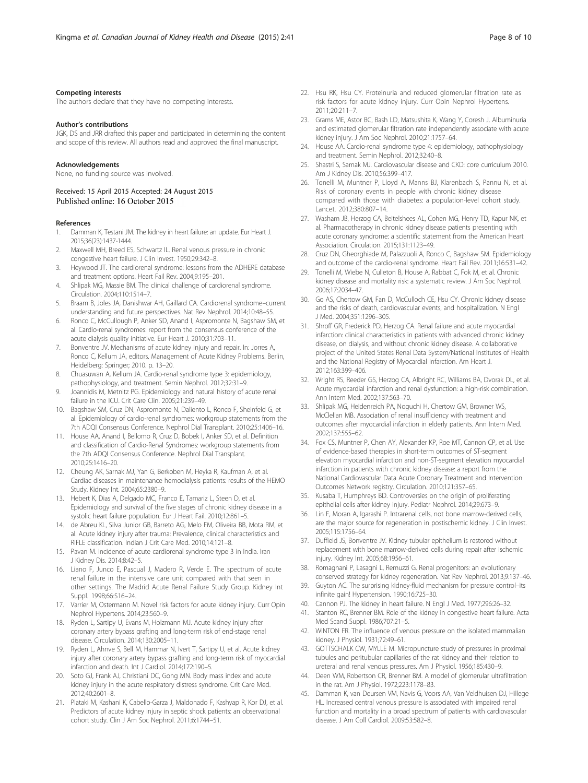#### <span id="page-7-0"></span>Competing interests

The authors declare that they have no competing interests.

#### Author's contributions

JGK, DS and JRR drafted this paper and participated in determining the content and scope of this review. All authors read and approved the final manuscript.

#### Acknowledgements

None, no funding source was involved.

# Received: 15 April 2015 Accepted: 24 August 2015<br>Published online: 16 October 2015

#### References

- 1. Damman K, Testani JM. The kidney in heart failure: an update. Eur Heart J. 2015;36(23):1437-1444.
- 2. Maxwell MH, Breed ES, Schwartz IL. Renal venous pressure in chronic congestive heart failure. J Clin Invest. 1950;29:342–8.
- 3. Heywood JT. The cardiorenal syndrome: lessons from the ADHERE database and treatment options. Heart Fail Rev. 2004;9:195–201.
- 4. Shlipak MG, Massie BM. The clinical challenge of cardiorenal syndrome. Circulation. 2004;110:1514–7.
- 5. Braam B, Joles JA, Danishwar AH, Gaillard CA. Cardiorenal syndrome–current understanding and future perspectives. Nat Rev Nephrol. 2014;10:48–55.
- Ronco C, McCullough P, Anker SD, Anand I, Aspromonte N, Bagshaw SM, et al. Cardio-renal syndromes: report from the consensus conference of the acute dialysis quality initiative. Eur Heart J. 2010;31:703–11.
- 7. Bonventre JV. Mechanisms of acute kidney injury and repair. In: Jorres A, Ronco C, Kellum JA, editors. Management of Acute Kidney Problems. Berlin, Heidelberg: Springer; 2010. p. 13–20.
- 8. Chuasuwan A, Kellum JA. Cardio-renal syndrome type 3: epidemiology, pathophysiology, and treatment. Semin Nephrol. 2012;32:31–9.
- 9. Joannidis M, Metnitz PG. Epidemiology and natural history of acute renal failure in the ICU. Crit Care Clin. 2005;21:239–49.
- 10. Bagshaw SM, Cruz DN, Aspromonte N, Daliento L, Ronco F, Sheinfeld G, et al. Epidemiology of cardio-renal syndromes: workgroup statements from the 7th ADQI Consensus Conference. Nephrol Dial Transplant. 2010;25:1406–16.
- 11. House AA, Anand I, Bellomo R, Cruz D, Bobek I, Anker SD, et al. Definition and classification of Cardio-Renal Syndromes: workgroup statements from the 7th ADQI Consensus Conference. Nephrol Dial Transplant. 2010;25:1416–20.
- 12. Cheung AK, Sarnak MJ, Yan G, Berkoben M, Heyka R, Kaufman A, et al. Cardiac diseases in maintenance hemodialysis patients: results of the HEMO Study. Kidney Int. 2004;65:2380–9.
- 13. Hebert K, Dias A, Delgado MC, Franco E, Tamariz L, Steen D, et al. Epidemiology and survival of the five stages of chronic kidney disease in a systolic heart failure population. Eur J Heart Fail. 2010;12:861–5.
- 14. de Abreu KL, Silva Junior GB, Barreto AG, Melo FM, Oliveira BB, Mota RM, et al. Acute kidney injury after trauma: Prevalence, clinical characteristics and RIFLE classification. Indian J Crit Care Med. 2010;14:121–8.
- 15. Pavan M. Incidence of acute cardiorenal syndrome type 3 in India. Iran J Kidney Dis. 2014;8:42–5.
- 16. Liano F, Junco E, Pascual J, Madero R, Verde E. The spectrum of acute renal failure in the intensive care unit compared with that seen in other settings. The Madrid Acute Renal Failure Study Group. Kidney Int Suppl. 1998;66:S16–24.
- 17. Varrier M, Ostermann M. Novel risk factors for acute kidney injury. Curr Opin Nephrol Hypertens. 2014;23:560–9.
- 18. Ryden L, Sartipy U, Evans M, Holzmann MJ. Acute kidney injury after coronary artery bypass grafting and long-term risk of end-stage renal disease. Circulation. 2014;130:2005–11.
- 19. Ryden L, Ahnve S, Bell M, Hammar N, Ivert T, Sartipy U, et al. Acute kidney injury after coronary artery bypass grafting and long-term risk of myocardial infarction and death. Int J Cardiol. 2014;172:190–5.
- 20. Soto GJ, Frank AJ, Christiani DC, Gong MN. Body mass index and acute kidney injury in the acute respiratory distress syndrome. Crit Care Med. 2012;40:2601–8.
- 21. Plataki M, Kashani K, Cabello-Garza J, Maldonado F, Kashyap R, Kor DJ, et al. Predictors of acute kidney injury in septic shock patients: an observational cohort study. Clin J Am Soc Nephrol. 2011;6:1744–51.
- 22. Hsu RK, Hsu CY. Proteinuria and reduced glomerular filtration rate as risk factors for acute kidney injury. Curr Opin Nephrol Hypertens. 2011;20:211–7.
- 23. Grams ME, Astor BC, Bash LD, Matsushita K, Wang Y, Coresh J. Albuminuria and estimated glomerular filtration rate independently associate with acute kidney injury. J Am Soc Nephrol. 2010;21:1757–64.
- 24. House AA. Cardio-renal syndrome type 4: epidemiology, pathophysiology and treatment. Semin Nephrol. 2012;32:40–8.
- 25. Shastri S, Sarnak MJ. Cardiovascular disease and CKD: core curriculum 2010. Am J Kidney Dis. 2010;56:399–417.
- 26. Tonelli M, Muntner P, Lloyd A, Manns BJ, Klarenbach S, Pannu N, et al. Risk of coronary events in people with chronic kidney disease compared with those with diabetes: a population-level cohort study. Lancet. 2012;380:807–14.
- 27. Washam JB, Herzog CA, Beitelshees AL, Cohen MG, Henry TD, Kapur NK, et al. Pharmacotherapy in chronic kidney disease patients presenting with acute coronary syndrome: a scientific statement from the American Heart Association. Circulation. 2015;131:1123–49.
- 28. Cruz DN, Gheorghiade M, Palazzuoli A, Ronco C, Bagshaw SM. Epidemiology and outcome of the cardio-renal syndrome. Heart Fail Rev. 2011;16:531–42.
- 29. Tonelli M, Wiebe N, Culleton B, House A, Rabbat C, Fok M, et al. Chronic kidney disease and mortality risk: a systematic review. J Am Soc Nephrol. 2006;17:2034–47.
- 30. Go AS, Chertow GM, Fan D, McCulloch CE, Hsu CY. Chronic kidney disease and the risks of death, cardiovascular events, and hospitalization. N Engl J Med. 2004;351:1296–305.
- 31. Shroff GR, Frederick PD, Herzog CA. Renal failure and acute myocardial infarction: clinical characteristics in patients with advanced chronic kidney disease, on dialysis, and without chronic kidney disease. A collaborative project of the United States Renal Data System/National Institutes of Health and the National Registry of Myocardial Infarction. Am Heart J. 2012;163:399–406.
- 32. Wright RS, Reeder GS, Herzog CA, Albright RC, Williams BA, Dvorak DL, et al. Acute myocardial infarction and renal dysfunction: a high-risk combination. Ann Intern Med. 2002;137:563–70.
- 33. Shlipak MG, Heidenreich PA, Noguchi H, Chertow GM, Browner WS, McClellan MB. Association of renal insufficiency with treatment and outcomes after myocardial infarction in elderly patients. Ann Intern Med. 2002;137:555–62.
- 34. Fox CS, Muntner P, Chen AY, Alexander KP, Roe MT, Cannon CP, et al. Use of evidence-based therapies in short-term outcomes of ST-segment elevation myocardial infarction and non-ST-segment elevation myocardial infarction in patients with chronic kidney disease: a report from the National Cardiovascular Data Acute Coronary Treatment and Intervention Outcomes Network registry. Circulation. 2010;121:357–65.
- 35. Kusaba T, Humphreys BD. Controversies on the origin of proliferating epithelial cells after kidney injury. Pediatr Nephrol. 2014;29:673–9.
- 36. Lin F, Moran A, Igarashi P. Intrarenal cells, not bone marrow-derived cells, are the major source for regeneration in postischemic kidney. J Clin Invest. 2005;115:1756–64.
- 37. Duffield JS, Bonventre JV. Kidney tubular epithelium is restored without replacement with bone marrow-derived cells during repair after ischemic injury. Kidney Int. 2005;68:1956–61.
- 38. Romagnani P, Lasagni L, Remuzzi G. Renal progenitors: an evolutionary conserved strategy for kidney regeneration. Nat Rev Nephrol. 2013;9:137–46.
- 39. Guyton AC. The surprising kidney-fluid mechanism for pressure control–its infinite gain! Hypertension. 1990;16:725–30.
- 40. Cannon PJ. The kidney in heart failure. N Engl J Med. 1977;296:26–32.
- 41. Stanton RC, Brenner BM. Role of the kidney in congestive heart failure. Acta Med Scand Suppl. 1986;707:21–5.
- 42. WINTON FR. The influence of venous pressure on the isolated mammalian kidney. J Physiol. 1931;72:49–61.
- 43. GOTTSCHALK CW, MYLLE M. Micropuncture study of pressures in proximal tubules and peritubular capillaries of the rat kidney and their relation to ureteral and renal venous pressures. Am J Physiol. 1956;185:430–9.
- 44. Deen WM, Robertson CR, Brenner BM. A model of glomerular ultrafiltration in the rat. Am J Physiol. 1972;223:1178–83.
- 45. Damman K, van Deursen VM, Navis G, Voors AA, Van Veldhuisen DJ, Hillege HL. Increased central venous pressure is associated with impaired renal function and mortality in a broad spectrum of patients with cardiovascular disease. J Am Coll Cardiol. 2009;53:582–8.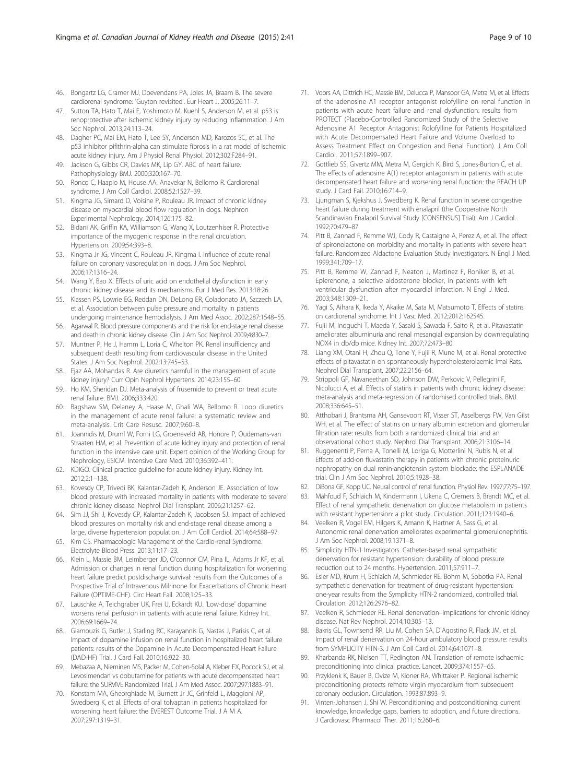- <span id="page-8-0"></span>46. Bongartz LG, Cramer MJ, Doevendans PA, Joles JA, Braam B. The severe cardiorenal syndrome: 'Guyton revisited'. Eur Heart J. 2005;26:11–7.
- 47. Sutton TA, Hato T, Mai E, Yoshimoto M, Kuehl S, Anderson M, et al. p53 is renoprotective after ischemic kidney injury by reducing inflammation. J Am Soc Nephrol. 2013;24:113–24.
- 48. Dagher PC, Mai EM, Hato T, Lee SY, Anderson MD, Karozos SC, et al. The p53 inhibitor pifithrin-alpha can stimulate fibrosis in a rat model of ischemic acute kidney injury. Am J Physiol Renal Physiol. 2012;302:F284–91.
- 49. Jackson G, Gibbs CR, Davies MK, Lip GY. ABC of heart failure. Pathophysiology BMJ. 2000;320:167–70.
- 50. Ronco C, Haapio M, House AA, Anavekar N, Bellomo R. Cardiorenal syndrome. J Am Coll Cardiol. 2008;52:1527–39.
- 51. Kingma JG, Simard D, Voisine P, Rouleau JR. Impact of chronic kidney disease on myocardial blood flow regulation in dogs. Nephron Experimental Nephrology. 2014;126:175–82.
- 52. Bidani AK, Griffin KA, Williamson G, Wang X, Loutzenhiser R. Protective importance of the myogenic response in the renal circulation. Hypertension. 2009;54:393–8.
- 53. Kingma Jr JG, Vincent C, Rouleau JR, Kingma I. Influence of acute renal failure on coronary vasoregulation in dogs. J Am Soc Nephrol. 2006;17:1316–24.
- 54. Wang Y, Bao X. Effects of uric acid on endothelial dysfunction in early chronic kidney disease and its mechanisms. Eur J Med Res. 2013;18:26.
- 55. Klassen PS, Lowrie EG, Reddan DN, DeLong ER, Coladonato JA, Szczech LA, et al. Association between pulse pressure and mortality in patients undergoing maintenance hemodialysis. J Am Med Assoc. 2002;287:1548–55.
- 56. Agarwal R. Blood pressure components and the risk for end-stage renal disease and death in chronic kidney disease. Clin J Am Soc Nephrol. 2009;4:830–7.
- 57. Muntner P, He J, Hamm L, Loria C, Whelton PK. Renal insufficiency and subsequent death resulting from cardiovascular disease in the United States. J Am Soc Nephrol. 2002;13:745–53.
- 58. Ejaz AA, Mohandas R. Are diuretics harmful in the management of acute kidney injury? Curr Opin Nephrol Hypertens. 2014;23:155–60.
- 59. Ho KM, Sheridan DJ. Meta-analysis of frusemide to prevent or treat acute renal failure. BMJ. 2006;333:420.
- 60. Bagshaw SM, Delaney A, Haase M, Ghali WA, Bellomo R. Loop diuretics in the management of acute renal failure: a systematic review and meta-analysis. Crit Care Resusc. 2007;9:60–8.
- 61. Joannidis M, Druml W, Forni LG, Groeneveld AB, Honore P, Oudemans-van Straaten HM, et al. Prevention of acute kidney injury and protection of renal function in the intensive care unit. Expert opinion of the Working Group for Nephrology, ESICM. Intensive Care Med. 2010;36:392–411.
- 62. KDIGO. Clinical practice guideline for acute kidney injury. Kidney Int. 2012;2:1–138.
- 63. Kovesdy CP, Trivedi BK, Kalantar-Zadeh K, Anderson JE. Association of low blood pressure with increased mortality in patients with moderate to severe chronic kidney disease. Nephrol Dial Transplant. 2006;21:1257–62.
- 64. Sim JJ, Shi J, Kovesdy CP, Kalantar-Zadeh K, Jacobsen SJ. Impact of achieved blood pressures on mortality risk and end-stage renal disease among a large, diverse hypertension population. J Am Coll Cardiol. 2014;64:588–97.
- 65. Kim CS. Pharmacologic Management of the Cardio-renal Syndrome. Electrolyte Blood Press. 2013;11:17–23.
- 66. Klein L, Massie BM, Leimberger JD, O'connor CM, Pina IL, Adams Jr KF, et al. Admission or changes in renal function during hospitalization for worsening heart failure predict postdischarge survival: results from the Outcomes of a Prospective Trial of Intravenous Milrinone for Exacerbations of Chronic Heart Failure (OPTIME-CHF). Circ Heart Fail. 2008;1:25–33.
- 67. Lauschke A, Teichgraber UK, Frei U, Eckardt KU. 'Low-dose' dopamine worsens renal perfusion in patients with acute renal failure. Kidney Int. 2006;69:1669–74.
- 68. Giamouzis G, Butler J, Starling RC, Karayannis G, Nastas J, Parisis C, et al. Impact of dopamine infusion on renal function in hospitalized heart failure patients: results of the Dopamine in Acute Decompensated Heart Failure (DAD-HF) Trial. J Card Fail. 2010;16:922–30.
- 69. Mebazaa A, Nieminen MS, Packer M, Cohen-Solal A, Kleber FX, Pocock SJ, et al. Levosimendan vs dobutamine for patients with acute decompensated heart failure: the SURVIVE Randomized Trial. J Am Med Assoc. 2007;297:1883–91.
- 70. Konstam MA, Gheorghiade M, Burnett Jr JC, Grinfeld L, Maggioni AP, Swedberg K, et al. Effects of oral tolvaptan in patients hospitalized for worsening heart failure: the EVEREST Outcome Trial. J A M A. 2007;297:1319–31.
- 71. Voors AA, Dittrich HC, Massie BM, Delucca P, Mansoor GA, Metra M, et al. Effects of the adenosine A1 receptor antagonist rolofylline on renal function in patients with acute heart failure and renal dysfunction: results from PROTECT (Placebo-Controlled Randomized Study of the Selective Adenosine A1 Receptor Antagonist Rolofylline for Patients Hospitalized with Acute Decompensated Heart Failure and Volume Overload to Assess Treatment Effect on Congestion and Renal Function). J Am Coll Cardiol. 2011;57:1899–907.
- 72. Gottlieb SS, Givertz MM, Metra M, Gergich K, Bird S, Jones-Burton C, et al. The effects of adenosine A(1) receptor antagonism in patients with acute decompensated heart failure and worsening renal function: the REACH UP study. J Card Fail. 2010;16:714–9.
- 73. Ljungman S, Kjekshus J, Swedberg K. Renal function in severe congestive heart failure during treatment with enalapril (the Cooperative North Scandinavian Enalapril Survival Study [CONSENSUS] Trial). Am J Cardiol. 1992;70:479–87.
- 74. Pitt B, Zannad F, Remme WJ, Cody R, Castaigne A, Perez A, et al. The effect of spironolactone on morbidity and mortality in patients with severe heart failure. Randomized Aldactone Evaluation Study Investigators. N Engl J Med. 1999;341:709–17.
- 75. Pitt B, Remme W, Zannad F, Neaton J, Martinez F, Roniker B, et al. Eplerenone, a selective aldosterone blocker, in patients with left ventricular dysfunction after myocardial infarction. N Engl J Med. 2003;348:1309–21.
- 76. Yagi S, Aihara K, Ikeda Y, Akaike M, Sata M, Matsumoto T. Effects of statins on cardiorenal syndrome. Int J Vasc Med. 2012;2012:162545.
- 77. Fujii M, Inoguchi T, Maeda Y, Sasaki S, Sawada F, Saito R, et al. Pitavastatin ameliorates albuminuria and renal mesangial expansion by downregulating NOX4 in db/db mice. Kidney Int. 2007;72:473–80.
- 78. Liang XM, Otani H, Zhou Q, Tone Y, Fujii R, Mune M, et al. Renal protective effects of pitavastatin on spontaneously hypercholesterolaemic Imai Rats. Nephrol Dial Transplant. 2007;22:2156–64.
- 79. Strippoli GF, Navaneethan SD, Johnson DW, Perkovic V, Pellegrini F, Nicolucci A, et al. Effects of statins in patients with chronic kidney disease: meta-analysis and meta-regression of randomised controlled trials. BMJ. 2008;336:645–51.
- 80. Atthobari J, Brantsma AH, Gansevoort RT, Visser ST, Asselbergs FW, Van Gilst WH, et al. The effect of statins on urinary albumin excretion and glomerular filtration rate: results from both a randomized clinical trial and an observational cohort study. Nephrol Dial Transplant. 2006;21:3106–14.
- 81. Ruggenenti P, Perna A, Tonelli M, Loriga G, Motterlini N, Rubis N, et al. Effects of add-on fluvastatin therapy in patients with chronic proteinuric nephropathy on dual renin-angiotensin system blockade: the ESPLANADE trial. Clin J Am Soc Nephrol. 2010;5:1928–38.
- 82. DiBona GF, Kopp UC. Neural control of renal function. Physiol Rev. 1997;77:75–197.
- 83. Mahfoud F, Schlaich M, Kindermann I, Ukena C, Cremers B, Brandt MC, et al. Effect of renal sympathetic denervation on glucose metabolism in patients with resistant hypertension: a pilot study. Circulation. 2011;123:1940–6.
- 84. Veelken R, Vogel EM, Hilgers K, Amann K, Hartner A, Sass G, et al. Autonomic renal denervation ameliorates experimental glomerulonephritis. J Am Soc Nephrol. 2008;19:1371–8.
- 85. Simplicity HTN-1 Investigators. Catheter-based renal sympathetic denervation for resistant hypertension: durability of blood pressure reduction out to 24 months. Hypertension. 2011;57:911–7.
- 86. Esler MD, Krum H, Schlaich M, Schmieder RE, Bohm M, Sobotka PA. Renal sympathetic denervation for treatment of drug-resistant hypertension: one-year results from the Symplicity HTN-2 randomized, controlled trial. Circulation. 2012;126:2976–82.
- 87. Veelken R, Schmieder RE. Renal denervation–implications for chronic kidney disease. Nat Rev Nephrol. 2014;10:305–13.
- 88. Bakris GL, Townsend RR, Liu M, Cohen SA, D'Agostino R, Flack JM, et al. Impact of renal denervation on 24-hour ambulatory blood pressure: results from SYMPLICITY HTN-3. J Am Coll Cardiol. 2014;64:1071–8.
- 89. Kharbanda RK, Nielsen TT, Redington AN. Translation of remote ischaemic preconditioning into clinical practice. Lancet. 2009;374:1557–65.
- 90. Przyklenk K, Bauer B, Ovize M, Kloner RA, Whittaker P. Regional ischemic preconditioning protects remote virgin myocardium from subsequent coronary occlusion. Circulation. 1993;87:893–9.
- 91. Vinten-Johansen J, Shi W. Perconditioning and postconditioning: current knowledge, knowledge gaps, barriers to adoption, and future directions. J Cardiovasc Pharmacol Ther. 2011;16:260–6.